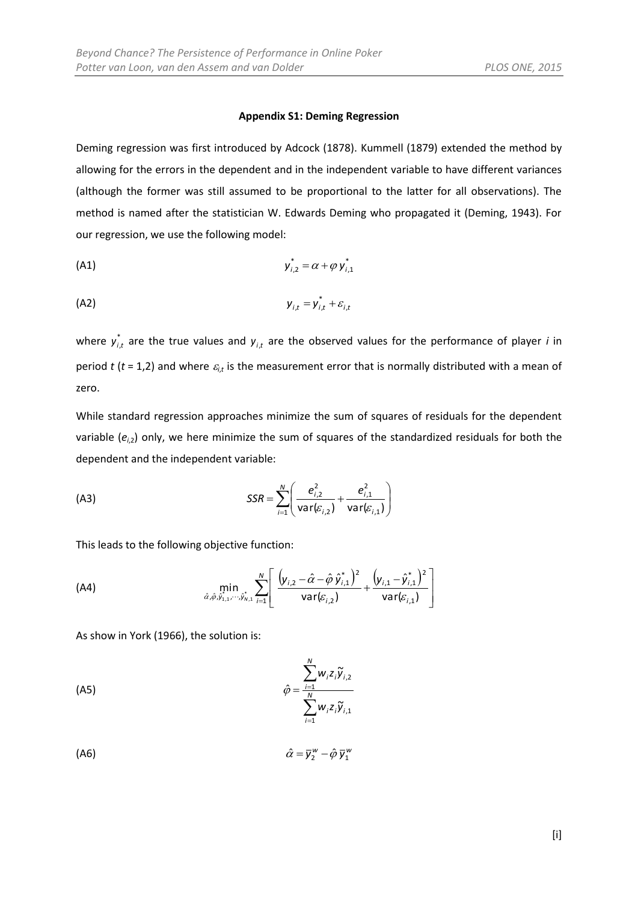## **Appendix S1: Deming Regression**

Deming regression was first introduced by Adcock (1878). Kummell (1879) extended the method by allowing for the errors in the dependent and in the independent variable to have different variances (although the former was still assumed to be proportional to the latter for all observations). The method is named after the statistician W. Edwards Deming who propagated it (Deming, 1943). For our regression, we use the following model:

(A1) 
$$
y_{i,2}^* = \alpha + \varphi y_{i,1}^*
$$

$$
y_{i,t} = y_{i,t}^* + \varepsilon_{i,t}
$$

where  $y_{i,t}^*$  are the true values and  $y_{i,t}$  are the observed values for the performance of player *i* in period t (t = 1,2) and where  $\varepsilon_{i,t}$  is the measurement error that is normally distributed with a mean of zero.

While standard regression approaches minimize the sum of squares of residuals for the dependent variable (*ei*,2) only, we here minimize the sum of squares of the standardized residuals for both the dependent and the independent variable:

(A3) 
$$
SSR = \sum_{i=1}^{N} \left( \frac{e_{i,2}^{2}}{\text{var}(\varepsilon_{i,2})} + \frac{e_{i,1}^{2}}{\text{var}(\varepsilon_{i,1})} \right)
$$

This leads to the following objective function:

(A4) 
$$
\min_{\hat{\alpha}, \hat{\varphi}, \hat{y}_{1,1}, \cdots, \hat{y}_{N,1}^*} \sum_{i=1}^N \left[ \frac{(y_{i,2} - \hat{\alpha} - \hat{\varphi} \hat{y}_{i,1}^*)^2}{var(\varepsilon_{i,2})} + \frac{(y_{i,1} - \hat{y}_{i,1}^*)^2}{var(\varepsilon_{i,1})} \right]
$$

As show in York (1966), the solution is:

$$
\hat{\varphi} = \frac{\sum_{i=1}^{N} w_i z_i \widetilde{y}_{i,2}}{\sum_{i=1}^{N} w_i z_i \widetilde{y}_{i,1}}
$$

$$
\hat{\alpha} = \bar{y}_2^{\,\mathrm{w}} - \hat{\varphi} \,\bar{y}_1^{\,\mathrm{w}}
$$